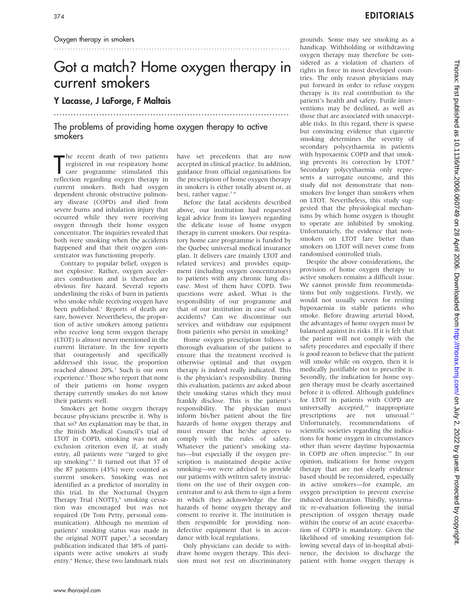# Got a match? Home oxygen therapy in current smokers

## Y Lacasse, J LaForge, F Maltais

## The problems of providing home oxygen therapy to active smokers

The recent death of two patients<br>
registered in our respiratory home<br>
care programme stimulated this<br>
reflection regarding oxygen therapy in he recent death of two patients registered in our respiratory home care programme stimulated this current smokers. Both had oxygen dependent chronic obstructive pulmonary disease (COPD) and died from severe burns and inhalation injury that occurred while they were receiving oxygen through their home oxygen concentrator. The inquiries revealed that both were smoking when the accidents happened and that their oxygen concentrator was functioning properly.

Contrary to popular belief, oxygen is not explosive. Rather, oxygen accelerates combustion and is therefore an obvious fire hazard. Several reports underlining the risks of burn in patients who smoke while receiving oxygen have been published.<sup>1</sup> Reports of death are rare, however. Nevertheless, the proportion of active smokers among patients who receive long term oxygen therapy (LTOT) is almost never mentioned in the current literature. In the few reports that courageously and specifically addressed this issue, the proportion reached almost 20%.<sup>2</sup> Such is our own experience.<sup>3</sup> Those who report that none of their patients on home oxygen therapy currently smokes do not know their patients well.

Smokers get home oxygen therapy because physicians prescribe it. Why is that so? An explanation may be that, in the British Medical Council's trial of LTOT in COPD, smoking was not an exclusion criterion even if, at study entry, all patients were ''urged to give up smoking''. <sup>4</sup> It turned out that 37 of the 87 patients (43%) were counted as current smokers. Smoking was not identified as a predictor of mortality in this trial. In the Nocturnal Oxygen Therapy Trial (NOTT),<sup>5</sup> smoking cessation was encouraged but was not required (Dr Tom Petty, personal communication). Although no mention of patients' smoking status was made in the original NOTT paper, $5$  a secondary publication indicated that 38% of participants were active smokers at study entry.<sup>6</sup> Hence, these two landmark trials

have set precedents that are now accepted in clinical practice. In addition, guidance from official organisations for the prescription of home oxygen therapy in smokers is either totally absent or, at best, rather vague.<sup>78</sup>

...................................................................................

Before the fatal accidents described above, our institution had requested legal advice from its lawyers regarding the delicate issue of home oxygen therapy in current smokers. Our respiratory home care programme is funded by the Quebec universal medical insurance plan. It delivers care (mainly LTOT and related services) and provides equipment (including oxygen concentrators) to patients with any chronic lung disease. Most of them have COPD. Two questions were asked. What is the responsibility of our programme and that of our institution in case of such accidents? Can we discontinue our services and withdraw our equipment from patients who persist in smoking?

Home oxygen prescription follows a thorough evaluation of the patient to ensure that the treatment received is otherwise optimal and that oxygen therapy is indeed really indicated. This is the physician's responsibility. During this evaluation, patients are asked about their smoking status which they must frankly disclose. This is the patient's responsibility. The physician must inform his/her patient about the fire hazards of home oxygen therapy and must ensure that he/she agrees to comply with the rules of safety. Whatever the patient's smoking status—but especially if the oxygen prescription is maintained despite active smoking—we were advised to provide our patients with written safety instructions on the use of their oxygen concentrator and to ask them to sign a form in which they acknowledge the fire hazards of home oxygen therapy and consent to receive it. The institution is then responsible for providing nondefective equipment that is in accordance with local regulations.

Only physicians can decide to withdraw home oxygen therapy. This decision must not rest on discriminatory

grounds. Some may see smoking as a handicap. Withholding or withdrawing oxygen therapy may therefore be considered as a violation of charters of rights in force in most developed countries. The only reason physicians may put forward in order to refuse oxygen therapy is its real contribution to the patient's health and safety. Futile interventions may be declined, as well as those that are associated with unacceptable risks. In this regard, there is sparse but convincing evidence that cigarette smoking determines the severity of secondary polycythaemia in patients with hypoxaemic COPD and that smoking prevents its correction by LTOT.<sup>9</sup> Secondary polycythaemia only represents a surrogate outcome, and this study did not demonstrate that nonsmokers live longer than smokers when on LTOT. Nevertheless, this study suggested that the physiological mechanisms by which home oxygen is thought to operate are inhibited by smoking. Unfortunately, the evidence that nonsmokers on LTOT fare better than smokers on LTOT will never come from randomised controlled trials.

Despite the above considerations, the provision of home oxygen therapy to active smokers remains a difficult issue. We cannot provide firm recommendations but only suggestions. Firstly, we would not usually screen for resting hypoxaemia in stable patients who smoke. Before drawing arterial blood, the advantages of home oxygen must be balanced against its risks. If it is felt that the patient will not comply with the safety procedures and especially if there is good reason to believe that the patient will smoke while on oxygen, then it is medically justifiable not to prescribe it. Secondly, the indication for home oxygen therapy must be clearly ascertained before it is offered. Although guidelines for LTOT in patients with COPD are universally accepted,<sup>10</sup> inappropriate prescriptions are not unusual.<sup>11</sup> Unfortunately, recommendations of scientific societies regarding the indications for home oxygen in circumstances other than severe daytime hypoxaemia in COPD are often imprecise.<sup>12</sup> In our opinion, indications for home oxygen therapy that are not clearly evidence based should be reconsidered, especially in active smokers—for example, an oxygen prescription to prevent exercise induced desaturation. Thirdly, systematic re-evaluation following the initial prescription of oxygen therapy made within the course of an acute exacerbation of COPD is mandatory. Given the likelihood of smoking resumption following several days of in-hospital abstinence, the decision to discharge the patient with home oxygen therapy is